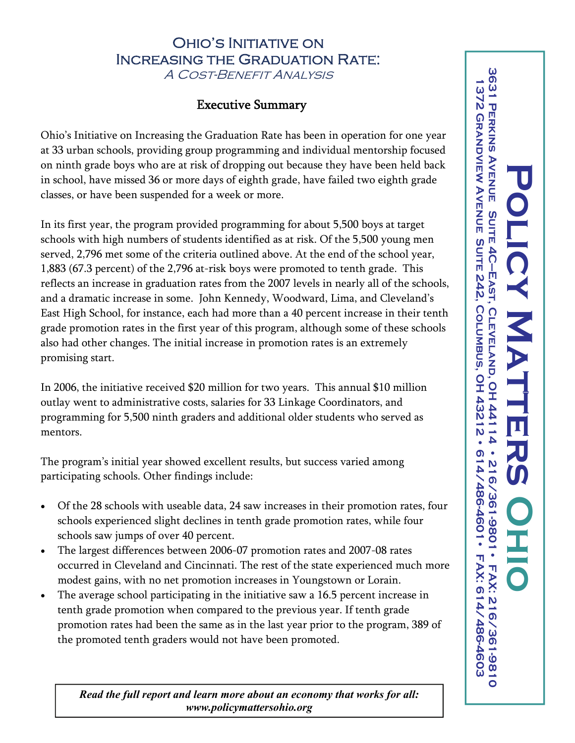## OHIO'S INITIATIVE ON Increasing the Graduation Rate:

A Cost-Benefit Analysis

## Executive Summary

Ohio's Initiative on Increasing the Graduation Rate has been in operation for one year at 33 urban schools, providing group programming and individual mentorship focused on ninth grade boys who are at risk of dropping out because they have been held back in school, have missed 36 or more days of eighth grade, have failed two eighth grade classes, or have been suspended for a week or more.

In its first year, the program provided programming for about 5,500 boys at target schools with high numbers of students identified as at risk. Of the 5,500 young men served, 2,796 met some of the criteria outlined above. At the end of the school year, 1,883 (67.3 percent) of the 2,796 at-risk boys were promoted to tenth grade. This reflects an increase in graduation rates from the 2007 levels in nearly all of the schools, and a dramatic increase in some. John Kennedy, Woodward, Lima, and Cleveland's East High School, for instance, each had more than a 40 percent increase in their tenth grade promotion rates in the first year of this program, although some of these schools also had other changes. The initial increase in promotion rates is an extremely promising start.

In 2006, the initiative received \$20 million for two years. This annual \$10 million outlay went to administrative costs, salaries for 33 Linkage Coordinators, and programming for 5,500 ninth graders and additional older students who served as mentors.

The program's initial year showed excellent results, but success varied among participating schools. Other findings include:

- Of the 28 schools with useable data, 24 saw increases in their promotion rates, four schools experienced slight declines in tenth grade promotion rates, while four schools saw jumps of over 40 percent.
- The largest differences between 2006-07 promotion rates and 2007-08 rates occurred in Cleveland and Cincinnati. The rest of the state experienced much more modest gains, with no net promotion increases in Youngstown or Lorain.
- The average school participating in the initiative saw a 16.5 percent increase in tenth grade promotion when compared to the previous year. If tenth grade promotion rates had been the same as in the last year prior to the program, 389 of the promoted tenth graders would not have been promoted.

*Read the full report and learn more about an economy that works for all: www.policymattersohio.org*